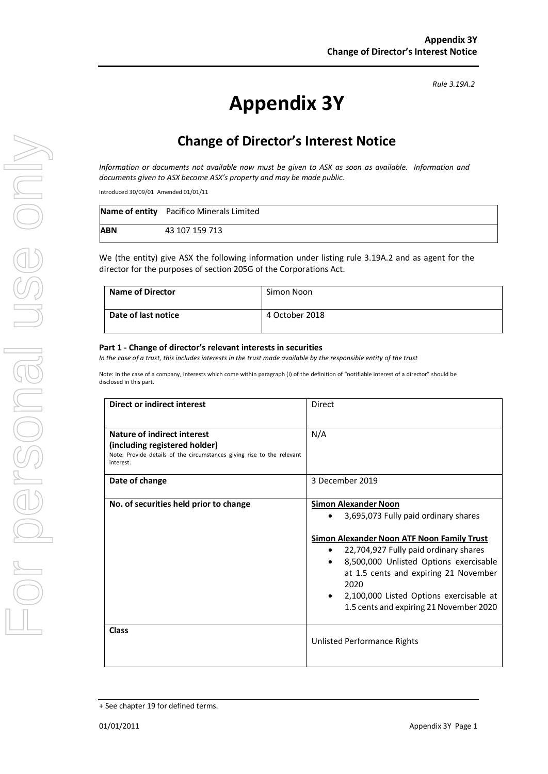# **Appendix 3Y**

# **Change of Director's Interest Notice**

*Information or documents not available now must be given to ASX as soon as available. Information and documents given to ASX become ASX's property and may be made public.*

Introduced 30/09/01 Amended 01/01/11

|            | Name of entity Pacifico Minerals Limited |
|------------|------------------------------------------|
| <b>ABN</b> | 43 107 159 713                           |

We (the entity) give ASX the following information under listing rule 3.19A.2 and as agent for the director for the purposes of section 205G of the Corporations Act.

| <b>Name of Director</b> | Simon Noon     |
|-------------------------|----------------|
| Date of last notice     | 4 October 2018 |

#### **Part 1 - Change of director's relevant interests in securities**

*In the case of a trust, this includes interests in the trust made available by the responsible entity of the trust*

Note: In the case of a company, interests which come within paragraph (i) of the definition of "notifiable interest of a director" should be disclosed in this part.

| <b>Direct or indirect interest</b>                                                                                                                  | Direct                                                                                                                                                                                                                                                                                                                                                                |  |
|-----------------------------------------------------------------------------------------------------------------------------------------------------|-----------------------------------------------------------------------------------------------------------------------------------------------------------------------------------------------------------------------------------------------------------------------------------------------------------------------------------------------------------------------|--|
| Nature of indirect interest<br>(including registered holder)<br>Note: Provide details of the circumstances giving rise to the relevant<br>interest. | N/A                                                                                                                                                                                                                                                                                                                                                                   |  |
| Date of change                                                                                                                                      | 3 December 2019                                                                                                                                                                                                                                                                                                                                                       |  |
| No. of securities held prior to change                                                                                                              | <b>Simon Alexander Noon</b><br>3,695,073 Fully paid ordinary shares<br>Simon Alexander Noon ATF Noon Family Trust<br>22,704,927 Fully paid ordinary shares<br>8,500,000 Unlisted Options exercisable<br>$\bullet$<br>at 1.5 cents and expiring 21 November<br>2020<br>2,100,000 Listed Options exercisable at<br>$\bullet$<br>1.5 cents and expiring 21 November 2020 |  |
| Class                                                                                                                                               | Unlisted Performance Rights                                                                                                                                                                                                                                                                                                                                           |  |

<sup>+</sup> See chapter 19 for defined terms.

*Rule 3.19A.2*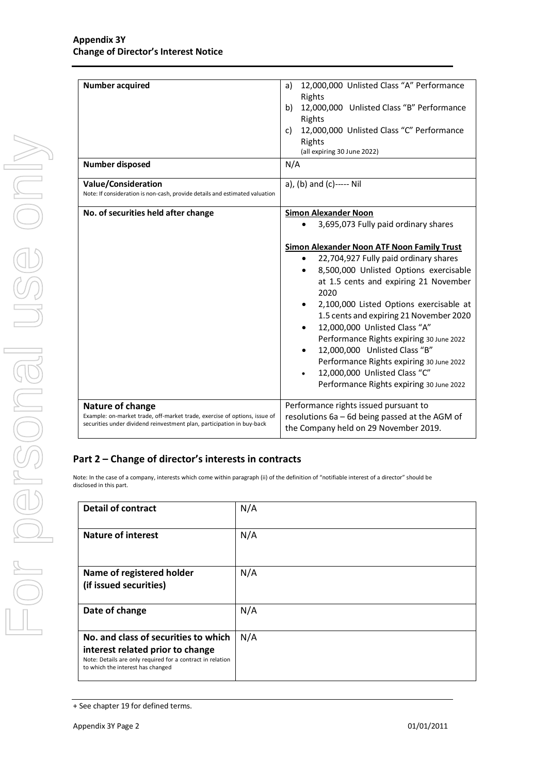| <b>Number acquired</b><br><b>Number disposed</b>                                                                                                    | 12,000,000 Unlisted Class "A" Performance<br>a)<br>Rights<br>12,000,000 Unlisted Class "B" Performance<br>b)<br>Rights<br>12,000,000 Unlisted Class "C" Performance<br>c)<br>Rights<br>(all expiring 30 June 2022)<br>N/A                                                                                                                                                                                                                                                                                                                                                    |  |
|-----------------------------------------------------------------------------------------------------------------------------------------------------|------------------------------------------------------------------------------------------------------------------------------------------------------------------------------------------------------------------------------------------------------------------------------------------------------------------------------------------------------------------------------------------------------------------------------------------------------------------------------------------------------------------------------------------------------------------------------|--|
|                                                                                                                                                     |                                                                                                                                                                                                                                                                                                                                                                                                                                                                                                                                                                              |  |
| Value/Consideration<br>Note: If consideration is non-cash, provide details and estimated valuation                                                  | a), (b) and (c)----- Nil                                                                                                                                                                                                                                                                                                                                                                                                                                                                                                                                                     |  |
| No. of securities held after change                                                                                                                 | <b>Simon Alexander Noon</b>                                                                                                                                                                                                                                                                                                                                                                                                                                                                                                                                                  |  |
|                                                                                                                                                     | 3,695,073 Fully paid ordinary shares<br><b>Simon Alexander Noon ATF Noon Family Trust</b><br>22,704,927 Fully paid ordinary shares<br>$\bullet$<br>8,500,000 Unlisted Options exercisable<br>٠<br>at 1.5 cents and expiring 21 November<br>2020<br>2,100,000 Listed Options exercisable at<br>1.5 cents and expiring 21 November 2020<br>12,000,000 Unlisted Class "A"<br>Performance Rights expiring 30 June 2022<br>12,000,000 Unlisted Class "B"<br>Performance Rights expiring 30 June 2022<br>12,000,000 Unlisted Class "C"<br>Performance Rights expiring 30 June 2022 |  |
| Nature of change                                                                                                                                    | Performance rights issued pursuant to                                                                                                                                                                                                                                                                                                                                                                                                                                                                                                                                        |  |
| Example: on-market trade, off-market trade, exercise of options, issue of<br>securities under dividend reinvestment plan, participation in buy-back | resolutions 6a - 6d being passed at the AGM of<br>the Company held on 29 November 2019.                                                                                                                                                                                                                                                                                                                                                                                                                                                                                      |  |

### **Part 2 – Change of director's interests in contracts**

Note: In the case of a company, interests which come within paragraph (ii) of the definition of "notifiable interest of a director" should be disclosed in this part.

| <b>Detail of contract</b>                                                                                                                                                   | N/A |
|-----------------------------------------------------------------------------------------------------------------------------------------------------------------------------|-----|
| <b>Nature of interest</b>                                                                                                                                                   | N/A |
| Name of registered holder<br>(if issued securities)                                                                                                                         | N/A |
| Date of change                                                                                                                                                              | N/A |
| No. and class of securities to which<br>interest related prior to change<br>Note: Details are only required for a contract in relation<br>to which the interest has changed | N/A |

<sup>+</sup> See chapter 19 for defined terms.